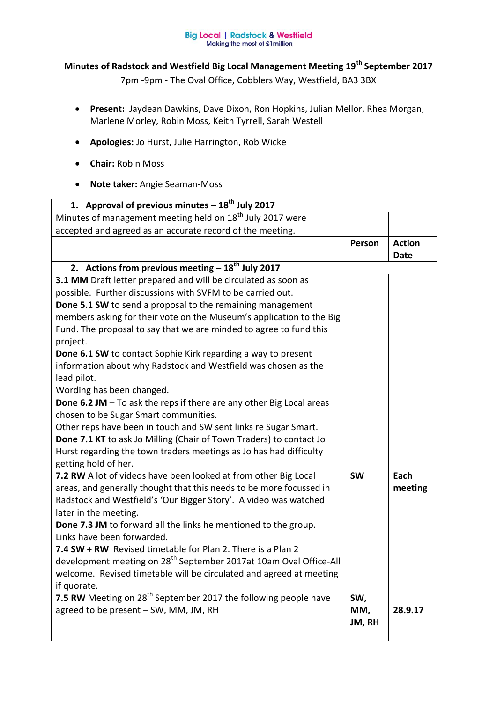## **Big Local | Radstock & Westfield<br>Making the most of £1 million**

## **Minutes of Radstock and Westfield Big Local Management Meeting 19th September 2017**

7pm -9pm - The Oval Office, Cobblers Way, Westfield, BA3 3BX

- **Present:** Jaydean Dawkins, Dave Dixon, Ron Hopkins, Julian Mellor, Rhea Morgan, Marlene Morley, Robin Moss, Keith Tyrrell, Sarah Westell
- **Apologies:** Jo Hurst, Julie Harrington, Rob Wicke
- **Chair:** Robin Moss
- **Note taker:** Angie Seaman-Moss

| 1. Approval of previous minutes $-18^{th}$ July 2017                                       |           |                              |  |
|--------------------------------------------------------------------------------------------|-----------|------------------------------|--|
| Minutes of management meeting held on 18 <sup>th</sup> July 2017 were                      |           |                              |  |
| accepted and agreed as an accurate record of the meeting.                                  |           |                              |  |
|                                                                                            | Person    | <b>Action</b><br><b>Date</b> |  |
| 2. Actions from previous meeting $-18^{th}$ July 2017                                      |           |                              |  |
| 3.1 MM Draft letter prepared and will be circulated as soon as                             |           |                              |  |
| possible. Further discussions with SVFM to be carried out.                                 |           |                              |  |
| Done 5.1 SW to send a proposal to the remaining management                                 |           |                              |  |
| members asking for their vote on the Museum's application to the Big                       |           |                              |  |
| Fund. The proposal to say that we are minded to agree to fund this                         |           |                              |  |
| project.                                                                                   |           |                              |  |
| Done 6.1 SW to contact Sophie Kirk regarding a way to present                              |           |                              |  |
| information about why Radstock and Westfield was chosen as the                             |           |                              |  |
| lead pilot.                                                                                |           |                              |  |
| Wording has been changed.                                                                  |           |                              |  |
| Done 6.2 JM - To ask the reps if there are any other Big Local areas                       |           |                              |  |
| chosen to be Sugar Smart communities.                                                      |           |                              |  |
| Other reps have been in touch and SW sent links re Sugar Smart.                            |           |                              |  |
| Done 7.1 KT to ask Jo Milling (Chair of Town Traders) to contact Jo                        |           |                              |  |
| Hurst regarding the town traders meetings as Jo has had difficulty<br>getting hold of her. |           |                              |  |
| 7.2 RW A lot of videos have been looked at from other Big Local                            | <b>SW</b> | Each                         |  |
| areas, and generally thought that this needs to be more focussed in                        |           | meeting                      |  |
| Radstock and Westfield's 'Our Bigger Story'. A video was watched                           |           |                              |  |
| later in the meeting.                                                                      |           |                              |  |
| Done 7.3 JM to forward all the links he mentioned to the group.                            |           |                              |  |
| Links have been forwarded.                                                                 |           |                              |  |
| 7.4 SW + RW Revised timetable for Plan 2. There is a Plan 2                                |           |                              |  |
| development meeting on 28 <sup>th</sup> September 2017at 10am Oval Office-All              |           |                              |  |
| welcome. Revised timetable will be circulated and agreed at meeting                        |           |                              |  |
| if quorate.                                                                                |           |                              |  |
| 7.5 RW Meeting on 28 <sup>th</sup> September 2017 the following people have                | SW,       |                              |  |
| agreed to be present - SW, MM, JM, RH                                                      | MM,       | 28.9.17                      |  |
|                                                                                            | JM, RH    |                              |  |
|                                                                                            |           |                              |  |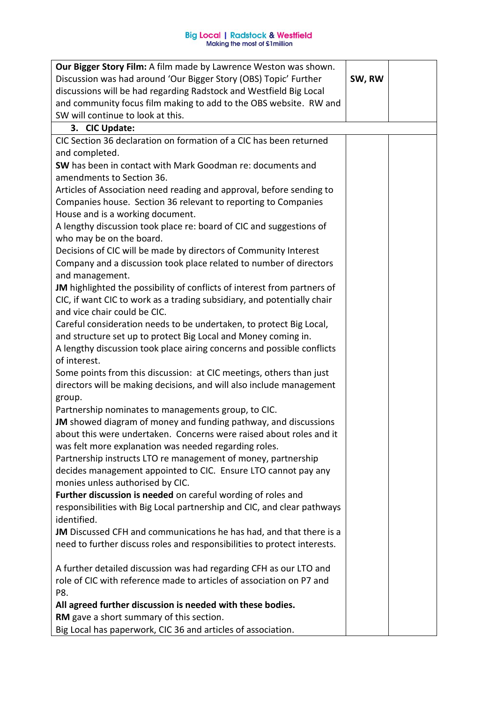| Our Bigger Story Film: A film made by Lawrence Weston was shown.         |        |  |
|--------------------------------------------------------------------------|--------|--|
| Discussion was had around 'Our Bigger Story (OBS) Topic' Further         | SW, RW |  |
| discussions will be had regarding Radstock and Westfield Big Local       |        |  |
| and community focus film making to add to the OBS website. RW and        |        |  |
| SW will continue to look at this.                                        |        |  |
| 3. CIC Update:                                                           |        |  |
| CIC Section 36 declaration on formation of a CIC has been returned       |        |  |
| and completed.                                                           |        |  |
| SW has been in contact with Mark Goodman re: documents and               |        |  |
| amendments to Section 36.                                                |        |  |
| Articles of Association need reading and approval, before sending to     |        |  |
| Companies house. Section 36 relevant to reporting to Companies           |        |  |
| House and is a working document.                                         |        |  |
| A lengthy discussion took place re: board of CIC and suggestions of      |        |  |
| who may be on the board.                                                 |        |  |
| Decisions of CIC will be made by directors of Community Interest         |        |  |
| Company and a discussion took place related to number of directors       |        |  |
| and management.                                                          |        |  |
| JM highlighted the possibility of conflicts of interest from partners of |        |  |
| CIC, if want CIC to work as a trading subsidiary, and potentially chair  |        |  |
| and vice chair could be CIC.                                             |        |  |
| Careful consideration needs to be undertaken, to protect Big Local,      |        |  |
| and structure set up to protect Big Local and Money coming in.           |        |  |
| A lengthy discussion took place airing concerns and possible conflicts   |        |  |
| of interest.                                                             |        |  |
| Some points from this discussion: at CIC meetings, others than just      |        |  |
| directors will be making decisions, and will also include management     |        |  |
| group.                                                                   |        |  |
| Partnership nominates to managements group, to CIC.                      |        |  |
| JM showed diagram of money and funding pathway, and discussions          |        |  |
| about this were undertaken. Concerns were raised about roles and it      |        |  |
| was felt more explanation was needed regarding roles.                    |        |  |
| Partnership instructs LTO re management of money, partnership            |        |  |
| decides management appointed to CIC. Ensure LTO cannot pay any           |        |  |
| monies unless authorised by CIC.                                         |        |  |
| Further discussion is needed on careful wording of roles and             |        |  |
| responsibilities with Big Local partnership and CIC, and clear pathways  |        |  |
| identified.                                                              |        |  |
| JM Discussed CFH and communications he has had, and that there is a      |        |  |
| need to further discuss roles and responsibilities to protect interests. |        |  |
|                                                                          |        |  |
| A further detailed discussion was had regarding CFH as our LTO and       |        |  |
| role of CIC with reference made to articles of association on P7 and     |        |  |
| P8.                                                                      |        |  |
| All agreed further discussion is needed with these bodies.               |        |  |
| RM gave a short summary of this section.                                 |        |  |
| Big Local has paperwork, CIC 36 and articles of association.             |        |  |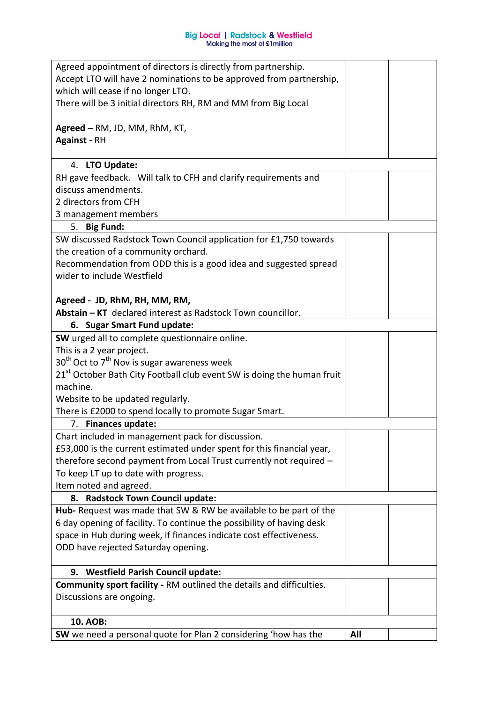| Agreed appointment of directors is directly from partnership.                                                                              |     |  |
|--------------------------------------------------------------------------------------------------------------------------------------------|-----|--|
| Accept LTO will have 2 nominations to be approved from partnership,                                                                        |     |  |
| which will cease if no longer LTO.                                                                                                         |     |  |
| There will be 3 initial directors RH, RM and MM from Big Local                                                                             |     |  |
| Agreed – RM, JD, MM, RhM, KT,                                                                                                              |     |  |
| <b>Against - RH</b>                                                                                                                        |     |  |
|                                                                                                                                            |     |  |
| 4. LTO Update:                                                                                                                             |     |  |
| RH gave feedback. Will talk to CFH and clarify requirements and                                                                            |     |  |
| discuss amendments.                                                                                                                        |     |  |
| 2 directors from CFH                                                                                                                       |     |  |
| 3 management members                                                                                                                       |     |  |
| 5. Big Fund:                                                                                                                               |     |  |
| SW discussed Radstock Town Council application for £1,750 towards                                                                          |     |  |
| the creation of a community orchard.                                                                                                       |     |  |
| Recommendation from ODD this is a good idea and suggested spread                                                                           |     |  |
| wider to include Westfield                                                                                                                 |     |  |
| Agreed - JD, RhM, RH, MM, RM,                                                                                                              |     |  |
| Abstain - KT declared interest as Radstock Town councillor.                                                                                |     |  |
| 6. Sugar Smart Fund update:                                                                                                                |     |  |
| SW urged all to complete questionnaire online.                                                                                             |     |  |
| This is a 2 year project.                                                                                                                  |     |  |
| $30th$ Oct to 7 <sup>th</sup> Nov is sugar awareness week                                                                                  |     |  |
| 21 <sup>st</sup> October Bath City Football club event SW is doing the human fruit                                                         |     |  |
| machine.                                                                                                                                   |     |  |
| Website to be updated regularly.                                                                                                           |     |  |
| There is £2000 to spend locally to promote Sugar Smart.                                                                                    |     |  |
| 7. Finances update:                                                                                                                        |     |  |
| Chart included in management pack for discussion.                                                                                          |     |  |
| £53,000 is the current estimated under spent for this financial year,                                                                      |     |  |
| therefore second payment from Local Trust currently not required -                                                                         |     |  |
| To keep LT up to date with progress.                                                                                                       |     |  |
| Item noted and agreed.                                                                                                                     |     |  |
| 8. Radstock Town Council update:                                                                                                           |     |  |
| Hub- Request was made that SW & RW be available to be part of the<br>6 day opening of facility. To continue the possibility of having desk |     |  |
| space in Hub during week, if finances indicate cost effectiveness.                                                                         |     |  |
| ODD have rejected Saturday opening.                                                                                                        |     |  |
|                                                                                                                                            |     |  |
| 9. Westfield Parish Council update:                                                                                                        |     |  |
| <b>Community sport facility - RM outlined the details and difficulties.</b>                                                                |     |  |
| Discussions are ongoing.                                                                                                                   |     |  |
|                                                                                                                                            |     |  |
| 10. AOB:                                                                                                                                   |     |  |
| SW we need a personal quote for Plan 2 considering 'how has the                                                                            | All |  |